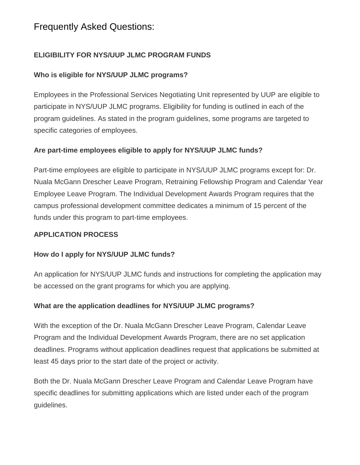## **ELIGIBILITY FOR NYS/UUP JLMC PROGRAM FUNDS**

## **Who is eligible for NYS/UUP JLMC programs?**

Employees in the Professional Services Negotiating Unit represented by UUP are eligible to participate in NYS/UUP JLMC programs. Eligibility for funding is outlined in each of the program guidelines. As stated in the program guidelines, some programs are targeted to specific categories of employees.

## **Are part-time employees eligible to apply for NYS/UUP JLMC funds?**

Part-time employees are eligible to participate in NYS/UUP JLMC programs except for: Dr. Nuala McGann Drescher Leave Program, Retraining Fellowship Program and Calendar Year Employee Leave Program. The Individual Development Awards Program requires that the campus professional development committee dedicates a minimum of 15 percent of the funds under this program to part-time employees.

### **APPLICATION PROCESS**

### **How do I apply for NYS/UUP JLMC funds?**

An application for NYS/UUP JLMC funds and instructions for completing the application may be accessed on the grant programs for which you are applying.

### **What are the application deadlines for NYS/UUP JLMC programs?**

With the exception of the Dr. Nuala McGann Drescher Leave Program, Calendar Leave Program and the Individual Development Awards Program, there are no set application deadlines. Programs without application deadlines request that applications be submitted at least 45 days prior to the start date of the project or activity.

Both the Dr. Nuala McGann Drescher Leave Program and Calendar Leave Program have specific deadlines for submitting applications which are listed under each of the program guidelines.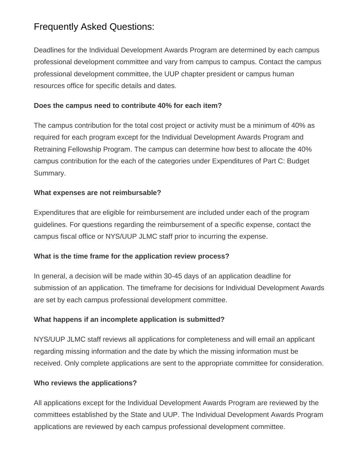Deadlines for the Individual Development Awards Program are determined by each campus professional development committee and vary from campus to campus. Contact the campus professional development committee, the UUP chapter president or campus human resources office for specific details and dates.

### **Does the campus need to contribute 40% for each item?**

The campus contribution for the total cost project or activity must be a minimum of 40% as required for each program except for the Individual Development Awards Program and Retraining Fellowship Program. The campus can determine how best to allocate the 40% campus contribution for the each of the categories under Expenditures of Part C: Budget Summary.

## **What expenses are not reimbursable?**

Expenditures that are eligible for reimbursement are included under each of the program guidelines. For questions regarding the reimbursement of a specific expense, contact the campus fiscal office or NYS/UUP JLMC staff prior to incurring the expense.

## **What is the time frame for the application review process?**

In general, a decision will be made within 30-45 days of an application deadline for submission of an application. The timeframe for decisions for Individual Development Awards are set by each campus professional development committee.

## **What happens if an incomplete application is submitted?**

NYS/UUP JLMC staff reviews all applications for completeness and will email an applicant regarding missing information and the date by which the missing information must be received. Only complete applications are sent to the appropriate committee for consideration.

## **Who reviews the applications?**

All applications except for the Individual Development Awards Program are reviewed by the committees established by the State and UUP. The Individual Development Awards Program applications are reviewed by each campus professional development committee.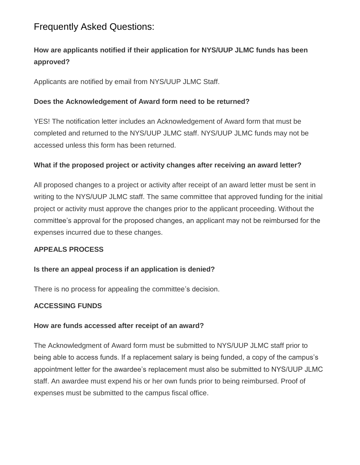## **How are applicants notified if their application for NYS/UUP JLMC funds has been approved?**

Applicants are notified by email from NYS/UUP JLMC Staff.

## **Does the Acknowledgement of Award form need to be returned?**

YES! The notification letter includes an Acknowledgement of Award form that must be completed and returned to the NYS/UUP JLMC staff. NYS/UUP JLMC funds may not be accessed unless this form has been returned.

### **What if the proposed project or activity changes after receiving an award letter?**

All proposed changes to a project or activity after receipt of an award letter must be sent in writing to the NYS/UUP JLMC staff. The same committee that approved funding for the initial project or activity must approve the changes prior to the applicant proceeding. Without the committee's approval for the proposed changes, an applicant may not be reimbursed for the expenses incurred due to these changes.

## **APPEALS PROCESS**

### **Is there an appeal process if an application is denied?**

There is no process for appealing the committee's decision.

### **ACCESSING FUNDS**

### **How are funds accessed after receipt of an award?**

The Acknowledgment of Award form must be submitted to NYS/UUP JLMC staff prior to being able to access funds. If a replacement salary is being funded, a copy of the campus's appointment letter for the awardee's replacement must also be submitted to NYS/UUP JLMC staff. An awardee must expend his or her own funds prior to being reimbursed. Proof of expenses must be submitted to the campus fiscal office.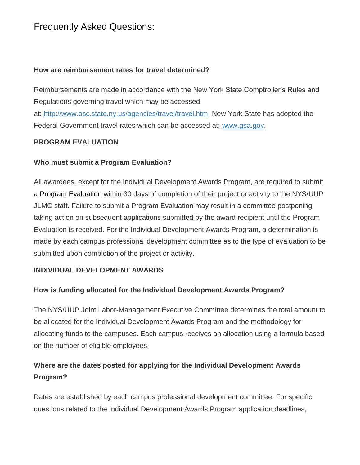#### **How are reimbursement rates for travel determined?**

Reimbursements are made in accordance with the New York State Comptroller's Rules and Regulations governing travel which may be accessed

at: [http://www.osc.state.ny.us/agencies/travel/travel.htm.](http://www.osc.state.ny.us/agencies/travel/travel.htm) New York State has adopted the Federal Government travel rates which can be accessed at: [www.gsa.gov.](http://www.gsa.gov/)

### **PROGRAM EVALUATION**

## **Who must submit a Program Evaluation?**

All awardees, except for the Individual Development Awards Program, are required to submit a Program Evaluation within 30 days of completion of their project or activity to the NYS/UUP JLMC staff. Failure to submit a Program Evaluation may result in a committee postponing taking action on subsequent applications submitted by the award recipient until the Program Evaluation is received. For the Individual Development Awards Program, a determination is made by each campus professional development committee as to the type of evaluation to be submitted upon completion of the project or activity.

### **INDIVIDUAL DEVELOPMENT AWARDS**

### **How is funding allocated for the Individual Development Awards Program?**

The NYS/UUP Joint Labor-Management Executive Committee determines the total amount to be allocated for the Individual Development Awards Program and the methodology for allocating funds to the campuses. Each campus receives an allocation using a formula based on the number of eligible employees.

## **Where are the dates posted for applying for the Individual Development Awards Program?**

Dates are established by each campus professional development committee. For specific questions related to the Individual Development Awards Program application deadlines,